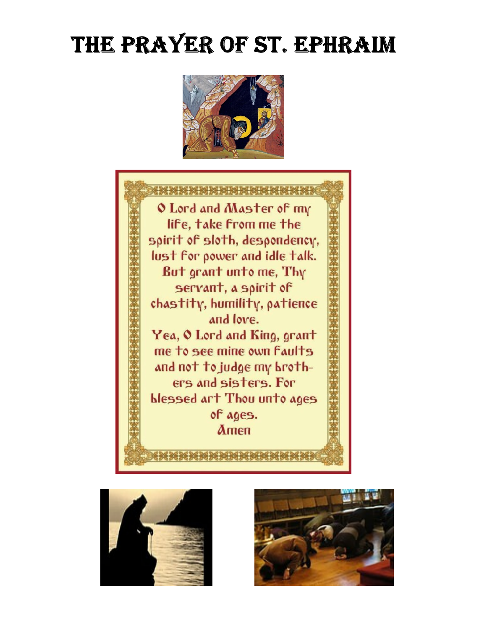# THE PRAYER OF ST. EPHRAIM







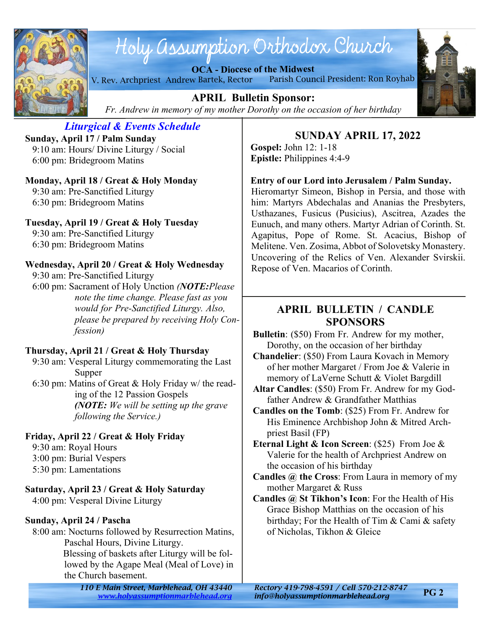

# Holy assumption Orthodox Church

**OCA - Diocese of the Midwest** V. Rev. Archpriest Andrew Bartek, Rector Parish Council President: Ron Royhab



**APRIL Bulletin Sponsor:** *Fr. Andrew in memory of my mother Dorothy on the occasion of her birthday*

#### *Liturgical & Events Schedule* **Sunday, April 17 / Palm Sunday**

 9:10 am: Hours/ Divine Liturgy / Social 6:00 pm: Bridegroom Matins

# **Monday, April 18 / Great & Holy Monday**

 9:30 am: Pre-Sanctified Liturgy 6:30 pm: Bridegroom Matins

# **Tuesday, April 19 / Great & Holy Tuesday**

 9:30 am: Pre-Sanctified Liturgy 6:30 pm: Bridegroom Matins

# **Wednesday, April 20 / Great & Holy Wednesday**

9:30 am: Pre-Sanctified Liturgy

 6:00 pm: Sacrament of Holy Unction *(NOTE:Please note the time change. Please fast as you would for Pre-Sanctified Liturgy. Also, please be prepared by receiving Holy Confession)*

# **Thursday, April 21 / Great & Holy Thursday**

 9:30 am: Vesperal Liturgy commemorating the Last Supper

 6:30 pm: Matins of Great & Holy Friday w/ the reading of the 12 Passion Gospels *(NOTE: We will be setting up the grave following the Service.)*

# **Friday, April 22 / Great & Holy Friday**

9:30 am: Royal Hours

- 3:00 pm: Burial Vespers
- 5:30 pm: Lamentations

# **Saturday, April 23 / Great & Holy Saturday**

4:00 pm: Vesperal Divine Liturgy

# **Sunday, April 24 / Pascha**

 8:00 am: Nocturns followed by Resurrection Matins, Paschal Hours, Divine Liturgy. Blessing of baskets after Liturgy will be followed by the Agape Meal (Meal of Love) in the Church basement.

> *110 E Main Street, Marblehead, OH 43440 Rectory 419-798-4591 / Cell 570-212-8747 <www.holyassumptionmarblehead.org> info@holyassumptionmarblehead.org*

### **SUNDAY APRIL 17, 2022 Gospel:** John 12: 1-18

**Epistle:** Philippines 4:4-9

# **Entry of our Lord into Jerusalem / Palm Sunday.**

Hieromartyr Simeon, Bishop in Persia, and those with him: Martyrs Abdechalas and Ananias the Presbyters, Usthazanes, Fusicus (Pusicius), Ascitrea, Azades the Eunuch, and many others. Martyr Adrian of Corinth. St. Agapitus, Pope of Rome. St. Acacius, Bishop of Melitene. Ven. Zosima, Abbot of Solovetsky Monastery. Uncovering of the Relics of Ven. Alexander Svirskii. Repose of Ven. Macarios of Corinth.

# **APRIL BULLETIN / CANDLE SPONSORS**

- **Bulletin**: (\$50) From Fr. Andrew for my mother, Dorothy, on the occasion of her birthday
- **Chandelier**: (\$50) From Laura Kovach in Memory of her mother Margaret / From Joe & Valerie in memory of LaVerne Schutt & Violet Bargdill
- **Altar Candles**: (\$50) From Fr. Andrew for my Godfather Andrew & Grandfather Matthias
- **Candles on the Tomb**: (\$25) From Fr. Andrew for His Eminence Archbishop John & Mitred Archpriest Basil (FP)
- **Eternal Light & Icon Screen**: (\$25) From Joe & Valerie for the health of Archpriest Andrew on the occasion of his birthday
- **Candles @ the Cross**: From Laura in memory of my mother Margaret & Russ
- **Candles @ St Tikhon's Icon**: For the Health of His Grace Bishop Matthias on the occasion of his birthday; For the Health of Tim & Cami & safety of Nicholas, Tikhon & Gleice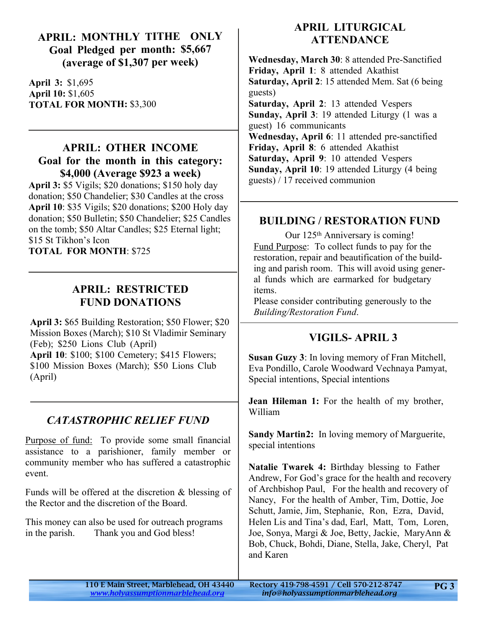# **APRIL: MONTHLY TITHE ONLY Goal Pledged per month: \$5,667 (average of \$1,307 per week)**

**April 3:** \$1,695 **April 10:** \$1,605 **TOTAL FOR MONTH:** \$3,300

# **APRIL: OTHER INCOME Goal for the month in this category: \$4,000 (Average \$923 a week)**

**April 3:** \$5 Vigils; \$20 donations; \$150 holy day donation; \$50 Chandelier; \$30 Candles at the cross **April 10**: \$35 Vigils; \$20 donations; \$200 Holy day donation; \$50 Bulletin; \$50 Chandelier; \$25 Candles on the tomb; \$50 Altar Candles; \$25 Eternal light; \$15 St Tikhon's Icon **TOTAL FOR MONTH**: \$725

# **APRIL: RESTRICTED FUND DONATIONS**

**April 3:** \$65 Building Restoration; \$50 Flower; \$20 Mission Boxes (March); \$10 St Vladimir Seminary (Feb); \$250 Lions Club (April) **April 10**: \$100; \$100 Cemetery; \$415 Flowers; \$100 Mission Boxes (March); \$50 Lions Club (April)

# *CATASTROPHIC RELIEF FUND*

Purpose of fund: To provide some small financial assistance to a parishioner, family member or community member who has suffered a catastrophic event.

Funds will be offered at the discretion & blessing of the Rector and the discretion of the Board.

This money can also be used for outreach programs in the parish. Thank you and God bless!

# **APRIL LITURGICAL ATTENDANCE**

**Wednesday, March 30**: 8 attended Pre-Sanctified **Friday, April 1**: 8 attended Akathist **Saturday, April 2**: 15 attended Mem. Sat (6 being guests) **Saturday, April 2**: 13 attended Vespers **Sunday, April 3**: 19 attended Liturgy (1 was a guest) 16 communicants **Wednesday, April 6**: 11 attended pre-sanctified **Friday, April 8**: 6 attended Akathist **Saturday, April 9**: 10 attended Vespers **Sunday, April 10**: 19 attended Liturgy (4 being guests) / 17 received communion

# **BUILDING / RESTORATION FUND**

Our 125<sup>th</sup> Anniversary is coming! Fund Purpose: To collect funds to pay for the restoration, repair and beautification of the building and parish room. This will avoid using general funds which are earmarked for budgetary items.

Please consider contributing generously to the *Building/Restoration Fund*.

# **VIGILS- APRIL 3**

**Susan Guzy 3**: In loving memory of Fran Mitchell, Eva Pondillo, Carole Woodward Vechnaya Pamyat, Special intentions, Special intentions

**Jean Hileman 1:** For the health of my brother, William

**Sandy Martin 2:** In loving memory of Marguerite, special intentions

**Natalie Twarek 4:** Birthday blessing to Father Andrew, For God's grace for the health and recovery of Archbishop Paul, For the health and recovery of Nancy, For the health of Amber, Tim, Dottie, Joe Schutt, Jamie, Jim, Stephanie, Ron, Ezra, David, Helen Lis and Tina's dad, Earl, Matt, Tom, Loren, Joe, Sonya, Margi & Joe, Betty, Jackie, MaryAnn & Bob, Chuck, Bohdi, Diane, Stella, Jake, Cheryl, Pat and Karen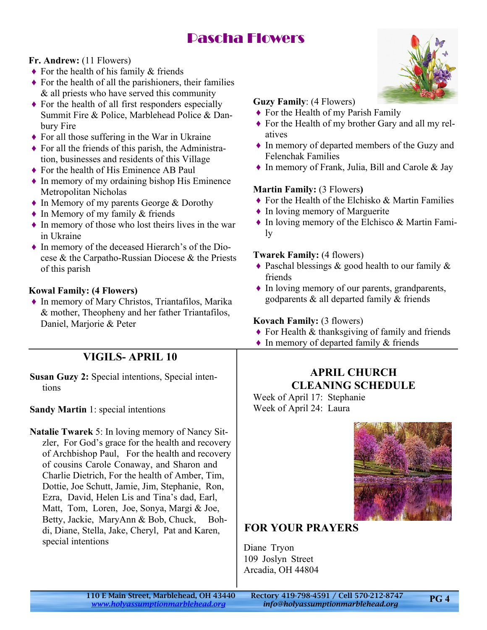# Pascha Flowers

#### **Fr. Andrew:** (11 Flowers)

- $\triangle$  For the health of his family & friends
- $\triangle$  For the health of all the parishioners, their families & all priests who have served this community
- $\triangle$  For the health of all first responders especially Summit Fire & Police, Marblehead Police & Danbury Fire
- $\triangle$  For all those suffering in the War in Ukraine
- $\blacklozenge$  For all the friends of this parish, the Administration, businesses and residents of this Village
- ♦ For the health of His Eminence AB Paul
- ♦ In memory of my ordaining bishop His Eminence Metropolitan Nicholas
- ♦ In Memory of my parents George & Dorothy
- $\bullet$  In Memory of my family & friends
- $\triangle$  In memory of those who lost theirs lives in the war in Ukraine
- ♦ In memory of the deceased Hierarch's of the Diocese & the Carpatho-Russian Diocese & the Priests of this parish

#### **Kowal Family: (4 Flowers)**

♦ In memory of Mary Christos, Triantafilos, Marika & mother, Theopheny and her father Triantafilos, Daniel, Marjorie & Peter

# **VIGILS- APRIL 10**

**Susan Guzy 2:** Special intentions, Special intentions

#### **Sandy Martin** 1: special intentions

**Natalie Twarek** 5: In loving memory of Nancy Sitzler, For God's grace for the health and recovery of Archbishop Paul, For the health and recovery of cousins Carole Conaway, and Sharon and Charlie Dietrich, For the health of Amber, Tim, Dottie, Joe Schutt, Jamie, Jim, Stephanie, Ron, Ezra, David, Helen Lis and Tina's dad, Earl, Matt, Tom, Loren, Joe, Sonya, Margi & Joe, Betty, Jackie, MaryAnn & Bob, Chuck, Bohdi, Diane, Stella, Jake, Cheryl, Pat and Karen, special intentions



#### **Guzy Family**: (4 Flowers)

- $\blacklozenge$  For the Health of my Parish Family
- ♦ For the Health of my brother Gary and all my relatives
- ♦ In memory of departed members of the Guzy and Felenchak Families
- ♦ In memory of Frank, Julia, Bill and Carole & Jay

#### **Martin Family:** (3 Flowers**)**

- ♦ For the Health of the Elchisko & Martin Families
- ♦ In loving memory of Marguerite
- ♦ In loving memory of the Elchisco & Martin Family

#### **Twarek Family:** (4 flowers)

- $\triangle$  Paschal blessings & good health to our family & friends
- ♦ In loving memory of our parents, grandparents, godparents & all departed family & friends

#### **Kovach Family:** (3 flowers)

- $\triangle$  For Health & thanksgiving of family and friends
- ♦ In memory of departed family & friends

### **APRIL CHURCH CLEANING SCHEDULE**

Week of April 17: Stephanie Week of April 24: Laura

# **FOR YOUR PRAYERS**

Diane Tryon 109 Joslyn Street Arcadia, OH 44804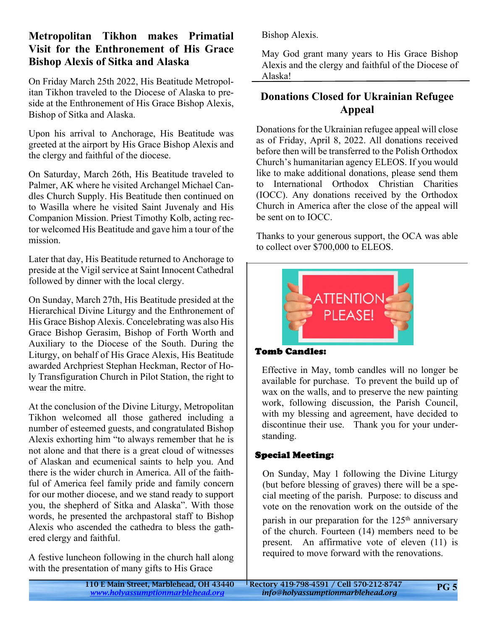# **Metropolitan Tikhon makes Primatial Visit for the Enthronement of His Grace Bishop Alexis of Sitka and Alaska**

On Friday March 25th 2022, His Beatitude Metropolitan Tikhon traveled to the Diocese of Alaska to preside at the Enthronement of His Grace Bishop Alexis, Bishop of Sitka and Alaska.

Upon his arrival to Anchorage, His Beatitude was greeted at the airport by His Grace Bishop Alexis and the clergy and faithful of the diocese.

On Saturday, March 26th, His Beatitude traveled to Palmer, AK where he visited Archangel Michael Candles Church Supply. His Beatitude then continued on to Wasilla where he visited Saint Juvenaly and His Companion Mission. Priest Timothy Kolb, acting rector welcomed His Beatitude and gave him a tour of the mission.

Later that day, His Beatitude returned to Anchorage to preside at the Vigil service at Saint Innocent Cathedral followed by dinner with the local clergy.

On Sunday, March 27th, His Beatitude presided at the Hierarchical Divine Liturgy and the Enthronement of His Grace Bishop Alexis. Concelebrating was also His Grace Bishop Gerasim, Bishop of Forth Worth and Auxiliary to the Diocese of the South. During the Liturgy, on behalf of His Grace Alexis, His Beatitude awarded Archpriest Stephan Heckman, Rector of Holy Transfiguration Church in Pilot Station, the right to wear the mitre.

At the conclusion of the Divine Liturgy, Metropolitan Tikhon welcomed all those gathered including a number of esteemed guests, and congratulated Bishop Alexis exhorting him "to always remember that he is not alone and that there is a great cloud of witnesses of Alaskan and ecumenical saints to help you. And there is the wider church in America. All of the faithful of America feel family pride and family concern for our mother diocese, and we stand ready to support you, the shepherd of Sitka and Alaska". With those words, he presented the archpastoral staff to Bishop Alexis who ascended the cathedra to bless the gathered clergy and faithful.

A festive luncheon following in the church hall along with the presentation of many gifts to His Grace

Bishop Alexis.

May God grant many years to His Grace Bishop Alexis and the clergy and faithful of the Diocese of Alaska!

# **Donations Closed for Ukrainian Refugee Appeal**

Donations for the Ukrainian refugee appeal will close as of Friday, April 8, 2022. All donations received before then will be transferred to the Polish Orthodox Church's humanitarian agency ELEOS. If you would like to make additional donations, please send them to International Orthodox Christian Charities (IOCC). Any donations received by the Orthodox Church in America after the close of the appeal will be sent on to IOCC.

Thanks to your generous support, the OCA was able to collect over \$700,000 to ELEOS.



#### **Tomb Candles:**

Effective in May, tomb candles will no longer be available for purchase. To prevent the build up of wax on the walls, and to preserve the new painting work, following discussion, the Parish Council, with my blessing and agreement, have decided to discontinue their use. Thank you for your understanding.

# **Special Meeting:**

On Sunday, May 1 following the Divine Liturgy (but before blessing of graves) there will be a special meeting of the parish. Purpose: to discuss and vote on the renovation work on the outside of the parish in our preparation for the  $125<sup>th</sup>$  anniversary of the church. Fourteen (14) members need to be present. An affirmative vote of eleven (11) is required to move forward with the renovations.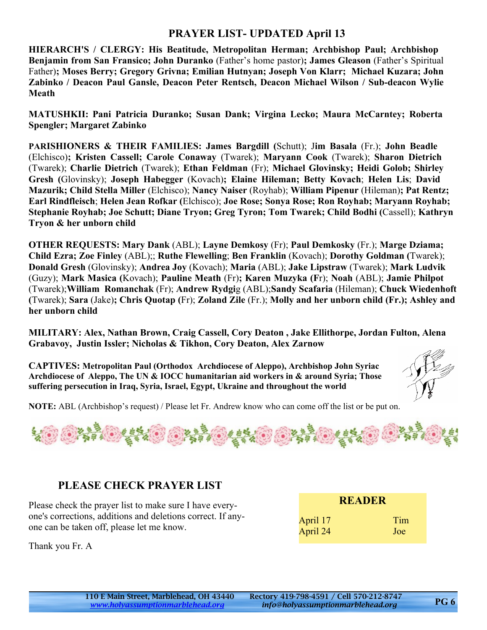# **PRAYER LIST- UPDATED April 13**

**HIERARCH'S / CLERGY: His Beatitude, Metropolitan Herman; Archbishop Paul; Archbishop Benjamin from San Fransico; John Duranko** (Father's home pastor)**; James Gleason** (Father's Spiritual Father)**; Moses Berry; Gregory Grivna; Emilian Hutnyan; Joseph Von Klarr; Michael Kuzara; John Zabinko / Deacon Paul Gansle, Deacon Peter Rentsch, Deacon Michael Wilson / Sub-deacon Wylie Meath**

**MATUSHKII: Pani Patricia Duranko; Susan Dank; Virgina Lecko; Maura McCarntey; Roberta Spengler; Margaret Zabinko**

**PARISHIONERS & THEIR FAMILIES: James Bargdill (**Schutt); J**im Basala** (Fr.); **John Beadle** (Elchisco)**; Kristen Cassell; Carole Conaway** (Twarek); **Maryann Cook** (Twarek); **Sharon Dietrich** (Twarek); **Charlie Dietrich** (Twarek); **Ethan Feldman** (Fr); **Michael Glovinsky; Heidi Golob; Shirley Gresh (**Glovinsky); **Joseph Habegger** (Kovach)**; Elaine Hileman; Betty Kovach**; **Helen Lis**; **David Mazurik; Child Stella Miller** (Elchisco); **Nancy Naiser** (Royhab); **William Pipenur** (Hileman)**; Pat Rentz; Earl Rindfleisch**; **Helen Jean Rofkar (**Elchisco); **Joe Rose; Sonya Rose; Ron Royhab; Maryann Royhab; Stephanie Royhab; Joe Schutt; Diane Tryon; Greg Tyron; Tom Twarek; Child Bodhi (**Cassell); **Kathryn Tryon & her unborn child**

**OTHER REQUESTS: Mary Dank** (ABL); **Layne Demkosy** (Fr); **Paul Demkosky** (Fr.); **Marge Dziama; Child Ezra; Zoe Finley** (ABL);; **Ruthe Flewelling**; **Ben Franklin** (Kovach); **Dorothy Goldman (**Twarek); **Donald Gresh** (Glovinsky); **Andrea Joy** (Kovach); **Maria** (ABL); **Jake Lipstraw** (Twarek); **Mark Ludvik** (Guzy); **Mark Masica (**Kovach); **Pauline Meath** (Fr)**; Karen Muzyka (F**r); **Noah** (ABL); **Jamie Philpot** (Twarek);**William Romanchak** (Fr); **Andrew Rydgi**g (ABL);**Sandy Scafaria** (Hileman); **Chuck Wiedenhoft (**Twarek); **Sara** (Jake)**; Chris Quotap (**Fr); **Zoland Zile** (Fr.); **Molly and her unborn child (Fr.); Ashley and her unborn child**

**MILITARY: Alex, Nathan Brown, Craig Cassell, Cory Deaton , Jake Ellithorpe, Jordan Fulton, Alena Grabavoy, Justin Issler; Nicholas & Tikhon, Cory Deaton, Alex Zarnow**

**CAPTIVES: Metropolitan Paul (Orthodox Archdiocese of Aleppo), Archbishop John Syriac Archdiocese of Aleppo, The UN & IOCC humanitarian aid workers in & around Syria; Those suffering persecution in Iraq, Syria, Israel, Egypt, Ukraine and throughout the world**



**NOTE:** ABL (Archbishop's request) / Please let Fr. Andrew know who can come off the list or be put on.



# **PLEASE CHECK PRAYER LIST**

Please check the prayer list to make sure I have everyone's corrections, additions and deletions correct. If anyone can be taken off, please let me know.

|          | <b>READER</b> |
|----------|---------------|
| April 17 | Tim           |
| April 24 | Joe           |

Thank you Fr. A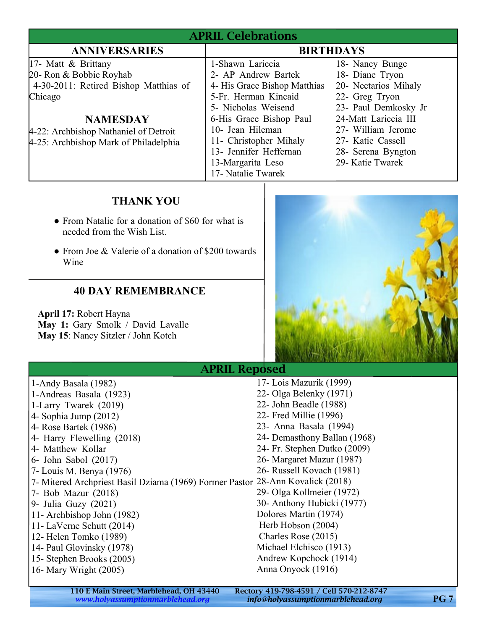| <b>APRIL Celebrations</b>                                                                                                                                      |                                                                                                                                                                       |                                                                                                                                                    |  |
|----------------------------------------------------------------------------------------------------------------------------------------------------------------|-----------------------------------------------------------------------------------------------------------------------------------------------------------------------|----------------------------------------------------------------------------------------------------------------------------------------------------|--|
| <b>ANNIVERSARIES</b>                                                                                                                                           | <b>BIRTHDAYS</b>                                                                                                                                                      |                                                                                                                                                    |  |
| 17- Matt & Brittany<br>20- Ron & Bobbie Royhab<br>4-30-2011: Retired Bishop Matthias of<br>Chicago<br><b>NAMESDAY</b><br>4-22: Archbishop Nathaniel of Detroit | 1-Shawn Lariccia<br>2- AP Andrew Bartek<br>4- His Grace Bishop Matthias<br>5-Fr. Herman Kincaid<br>5- Nicholas Weisend<br>6-His Grace Bishop Paul<br>10- Jean Hileman | 18- Nancy Bunge<br>18- Diane Tryon<br>20- Nectarios Mihaly<br>22- Greg Tryon<br>23- Paul Demkosky Jr<br>24-Matt Lariccia III<br>27- William Jerome |  |
| 4-25: Archbishop Mark of Philadelphia                                                                                                                          | 11- Christopher Mihaly<br>13- Jennifer Heffernan<br>13-Margarita Leso<br>17- Natalie Twarek                                                                           | 27- Katie Cassell<br>28- Serena Byngton<br>29- Katie Twarek                                                                                        |  |

# **THANK YOU**

- From Natalie for a donation of \$60 for what is needed from the Wish List.
- From Joe & Valerie of a donation of \$200 towards Wine

# **40 DAY REMEMBRANCE**

**April 17:** Robert Hayna **May 1:** Gary Smolk / David Lavalle **May 15**: Nancy Sitzler / John Kotch



# APRIL Reposed

1-Andy Basala (1982) 1-Andreas Basala (1923) 1-Larry Twarek (2019) 4- Sophia Jump (2012) 4- Rose Bartek (1986) 4- Harry Flewelling (2018) 4- Matthew Kollar 6- John Sabol (2017) 7- Louis M. Benya (1976) 7- Mitered Archpriest Basil Dziama (1969) Former Pastor 28-Ann Kovalick (2018) 7- Bob Mazur (2018) 9- Julia Guzy (2021) 11- Archbishop John (1982) 11- LaVerne Schutt (2014) 12- Helen Tomko (1989) 14- Paul Glovinsky (1978) 15- Stephen Brooks (2005) 16- Mary Wright (2005) 17- Lois Mazurik (1999) 22- Olga Belenky (1971) 22- John Beadle (1988) 22- Fred Millie (1996) 23- Anna Basala (1994) 24- Demasthony Ballan (1968) 24- Fr. Stephen Dutko (2009) 26- Margaret Mazur (1987) 26- Russell Kovach (1981) 29- Olga Kollmeier (1972) 30- Anthony Hubicki (1977) Dolores Martin (1974) Herb Hobson (2004) Charles Rose (2015) Michael Elchisco (1913) Andrew Kopchock (1914) Anna Onyock (1916)

> 110 E Main Street, Marblehead, OH 43440 Rectory 419-798-4591 / Cell 570-212-8747<br>www.holyassumptionmarblehead.org info@holyassumptionmarblehead.org *<www.holyassumptionmarblehead.org> info@holyassumptionmarblehead.org* **PG 7**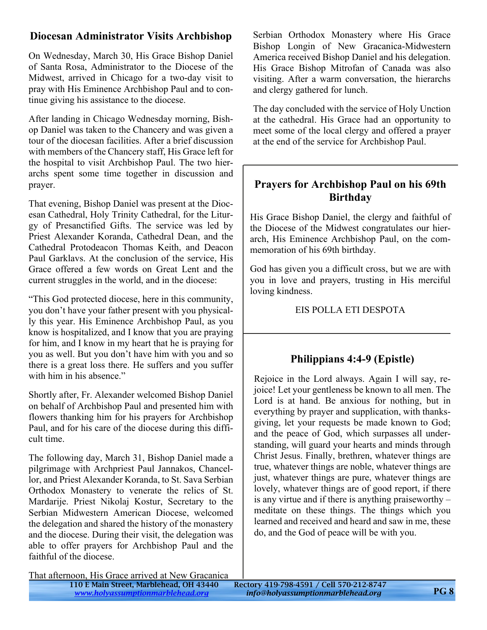# **Diocesan Administrator Visits Archbishop**

On Wednesday, March 30, His Grace Bishop Daniel of Santa Rosa, Administrator to the Diocese of the Midwest, arrived in Chicago for a two-day visit to pray with His Eminence Archbishop Paul and to continue giving his assistance to the diocese.

After landing in Chicago Wednesday morning, Bishop Daniel was taken to the Chancery and was given a tour of the diocesan facilities. After a brief discussion with members of the Chancery staff, His Grace left for the hospital to visit Archbishop Paul. The two hierarchs spent some time together in discussion and prayer.

That evening, Bishop Daniel was present at the Diocesan Cathedral, Holy Trinity Cathedral, for the Liturgy of Presanctified Gifts. The service was led by Priest Alexander Koranda, Cathedral Dean, and the Cathedral Protodeacon Thomas Keith, and Deacon Paul Garklavs. At the conclusion of the service, His Grace offered a few words on Great Lent and the current struggles in the world, and in the diocese:

"This God protected diocese, here in this community, you don't have your father present with you physically this year. His Eminence Archbishop Paul, as you know is hospitalized, and I know that you are praying for him, and I know in my heart that he is praying for you as well. But you don't have him with you and so there is a great loss there. He suffers and you suffer with him in his absence."

Shortly after, Fr. Alexander welcomed Bishop Daniel on behalf of Archbishop Paul and presented him with flowers thanking him for his prayers for Archbishop Paul, and for his care of the diocese during this difficult time.

The following day, March 31, Bishop Daniel made a pilgrimage with Archpriest Paul Jannakos, Chancellor, and Priest Alexander Koranda, to St. Sava Serbian Orthodox Monastery to venerate the relics of St. Mardarije. Priest Nikolaj Kostur, Secretary to the Serbian Midwestern American Diocese, welcomed the delegation and shared the history of the monastery and the diocese. During their visit, the delegation was able to offer prayers for Archbishop Paul and the faithful of the diocese.

Serbian Orthodox Monastery where His Grace Bishop Longin of New Gracanica-Midwestern America received Bishop Daniel and his delegation. His Grace Bishop Mitrofan of Canada was also visiting. After a warm conversation, the hierarchs and clergy gathered for lunch.

The day concluded with the service of Holy Unction at the cathedral. His Grace had an opportunity to meet some of the local clergy and offered a prayer at the end of the service for Archbishop Paul.

# **Prayers for Archbishop Paul on his 69th Birthday**

His Grace Bishop Daniel, the clergy and faithful of the Diocese of the Midwest congratulates our hierarch, His Eminence Archbishop Paul, on the commemoration of his 69th birthday.

God has given you a difficult cross, but we are with you in love and prayers, trusting in His merciful loving kindness.

EIS POLLA ETI DESPOTA

# **Philippians 4:4-9 (Epistle)**

Rejoice in the Lord always. Again I will say, rejoice! Let your gentleness be known to all men. The Lord is at hand. Be anxious for nothing, but in everything by prayer and supplication, with thanksgiving, let your requests be made known to God; and the peace of God, which surpasses all understanding, will guard your hearts and minds through Christ Jesus. Finally, brethren, whatever things are true, whatever things are noble, whatever things are just, whatever things are pure, whatever things are lovely, whatever things are of good report, if there is any virtue and if there is anything praiseworthy – meditate on these things. The things which you learned and received and heard and saw in me, these do, and the God of peace will be with you.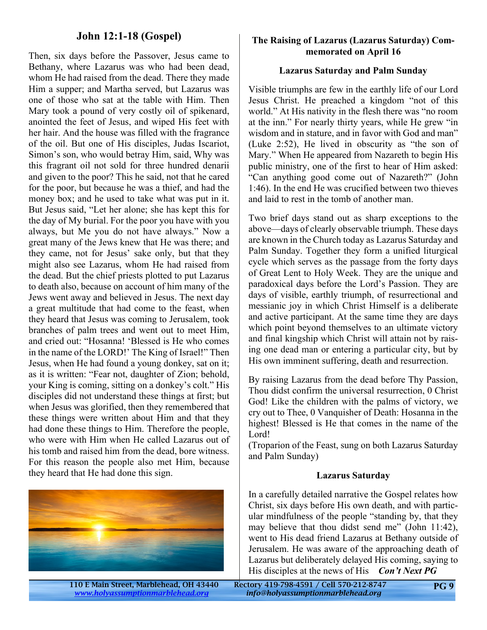#### **John 12:1-18 (Gospel)**

Then, six days before the Passover, Jesus came to Bethany, where Lazarus was who had been dead, whom He had raised from the dead. There they made Him a supper; and Martha served, but Lazarus was one of those who sat at the table with Him. Then Mary took a pound of very costly oil of spikenard, anointed the feet of Jesus, and wiped His feet with her hair. And the house was filled with the fragrance of the oil. But one of His disciples, Judas Iscariot, Simon's son, who would betray Him, said, Why was this fragrant oil not sold for three hundred denarii and given to the poor? This he said, not that he cared for the poor, but because he was a thief, and had the money box; and he used to take what was put in it. But Jesus said, "Let her alone; she has kept this for the day of My burial. For the poor you have with you always, but Me you do not have always." Now a great many of the Jews knew that He was there; and they came, not for Jesus' sake only, but that they might also see Lazarus, whom He had raised from the dead. But the chief priests plotted to put Lazarus to death also, because on account of him many of the Jews went away and believed in Jesus. The next day a great multitude that had come to the feast, when they heard that Jesus was coming to Jerusalem, took branches of palm trees and went out to meet Him, and cried out: "Hosanna! 'Blessed is He who comes in the name of the LORD!' The King of Israel!" Then Jesus, when He had found a young donkey, sat on it; as it is written: "Fear not, daughter of Zion; behold, your King is coming, sitting on a donkey's colt." His disciples did not understand these things at first; but when Jesus was glorified, then they remembered that these things were written about Him and that they had done these things to Him. Therefore the people, who were with Him when He called Lazarus out of his tomb and raised him from the dead, bore witness. For this reason the people also met Him, because they heard that He had done this sign.



#### **The Raising of Lazarus (Lazarus Saturday) Commemorated on April 16**

#### **Lazarus Saturday and Palm Sunday**

Visible triumphs are few in the earthly life of our Lord Jesus Christ. He preached a kingdom "not of this world." At His nativity in the flesh there was "no room at the inn." For nearly thirty years, while He grew "in wisdom and in stature, and in favor with God and man" (Luke 2:52), He lived in obscurity as "the son of Mary." When He appeared from Nazareth to begin His public ministry, one of the first to hear of Him asked: "Can anything good come out of Nazareth?" (John 1:46). In the end He was crucified between two thieves and laid to rest in the tomb of another man.

Two brief days stand out as sharp exceptions to the above—days of clearly observable triumph. These days are known in the Church today as Lazarus Saturday and Palm Sunday. Together they form a unified liturgical cycle which serves as the passage from the forty days of Great Lent to Holy Week. They are the unique and paradoxical days before the Lord's Passion. They are days of visible, earthly triumph, of resurrectional and messianic joy in which Christ Himself is a deliberate and active participant. At the same time they are days which point beyond themselves to an ultimate victory and final kingship which Christ will attain not by raising one dead man or entering a particular city, but by His own imminent suffering, death and resurrection.

By raising Lazarus from the dead before Thy Passion, Thou didst confirm the universal resurrection, 0 Christ God! Like the children with the palms of victory, we cry out to Thee, 0 Vanquisher of Death: Hosanna in the highest! Blessed is He that comes in the name of the Lord!

(Troparion of the Feast, sung on both Lazarus Saturday and Palm Sunday)

#### **Lazarus Saturday**

In a carefully detailed narrative the Gospel relates how Christ, six days before His own death, and with particular mindfulness of the people "standing by, that they may believe that thou didst send me" (John 11:42), went to His dead friend Lazarus at Bethany outside of Jerusalem. He was aware of the approaching death of Lazarus but deliberately delayed His coming, saying to His disciples at the news of His *Con't Next PG*

110 E Main Street, Marblehead, OH 43440 Rectory 419-798-4591 / Cell 570-212-8747 *<www.holyassumptionmarblehead.org> info@holyassumptionmarblehead.org*